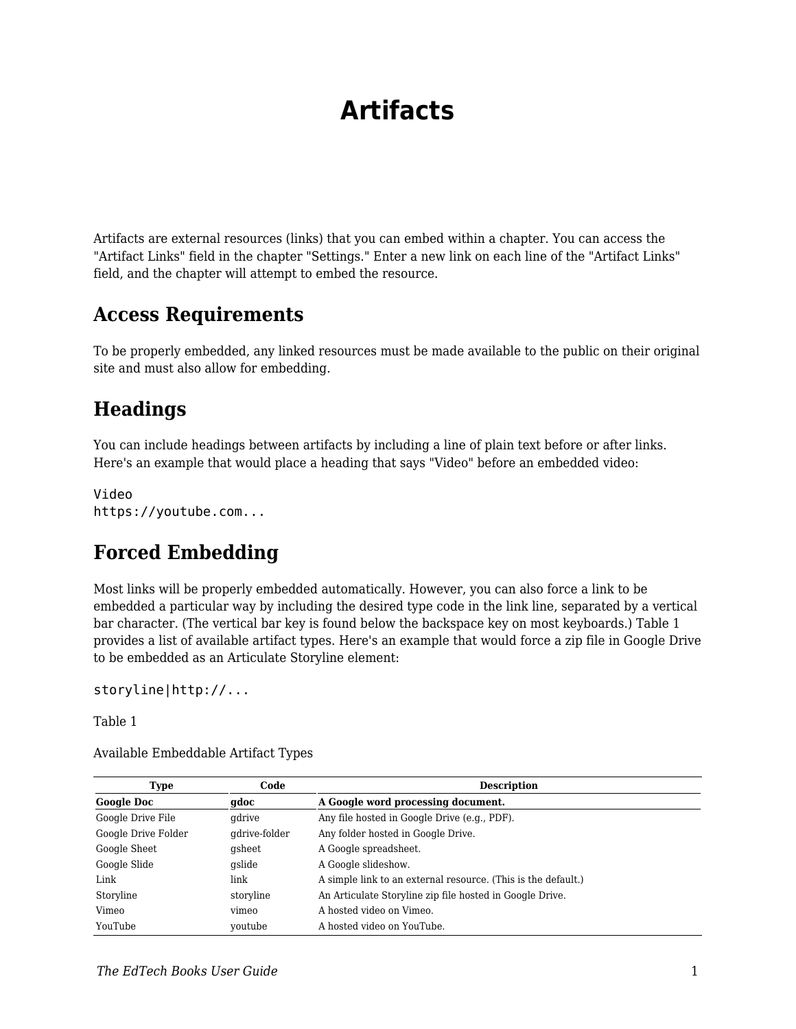# **Artifacts**

Artifacts are external resources (links) that you can embed within a chapter. You can access the "Artifact Links" field in the chapter "Settings." Enter a new link on each line of the "Artifact Links" field, and the chapter will attempt to embed the resource.

#### **Access Requirements**

To be properly embedded, any linked resources must be made available to the public on their original site and must also allow for embedding.

#### **Headings**

You can include headings between artifacts by including a line of plain text before or after links. Here's an example that would place a heading that says "Video" before an embedded video:

Video https://youtube.com...

#### **Forced Embedding**

Most links will be properly embedded automatically. However, you can also force a link to be embedded a particular way by including the desired type code in the link line, separated by a vertical bar character. (The vertical bar key is found below the backspace key on most keyboards.) Table 1 provides a list of available artifact types. Here's an example that would force a zip file in Google Drive to be embedded as an Articulate Storyline element:

storyline|http://...

Table 1

| Type                | Code          | <b>Description</b>                                            |
|---------------------|---------------|---------------------------------------------------------------|
| <b>Google Doc</b>   | gdoc          | A Google word processing document.                            |
| Google Drive File   | qdrive        | Any file hosted in Google Drive (e.g., PDF).                  |
| Google Drive Folder | gdrive-folder | Any folder hosted in Google Drive.                            |
| Google Sheet        | gsheet        | A Google spreadsheet.                                         |
| Google Slide        | qslide        | A Google slideshow.                                           |
| Link                | link          | A simple link to an external resource. (This is the default.) |
| Storyline           | storyline     | An Articulate Storyline zip file hosted in Google Drive.      |
| Vimeo               | vimeo         | A hosted video on Vimeo.                                      |
| YouTube             | voutube       | A hosted video on YouTube.                                    |

Available Embeddable Artifact Types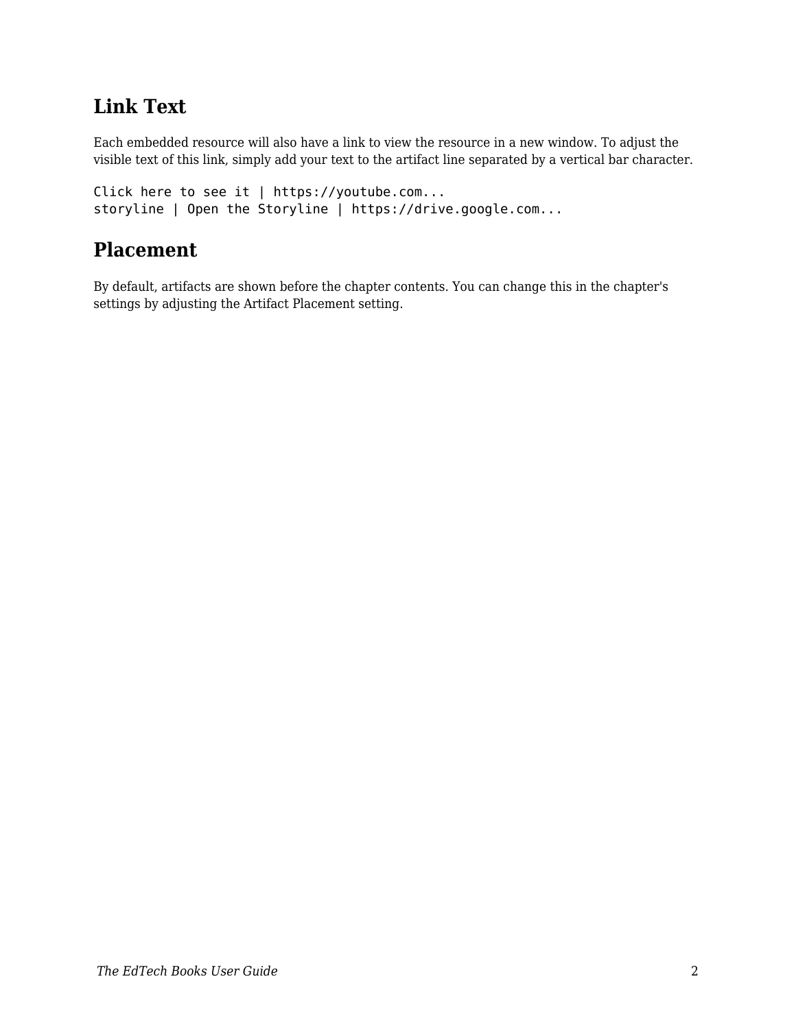## **Link Text**

Each embedded resource will also have a link to view the resource in a new window. To adjust the visible text of this link, simply add your text to the artifact line separated by a vertical bar character.

```
Click here to see it | https://youtube.com...
storyline | Open the Storyline | https://drive.google.com...
```
### **Placement**

By default, artifacts are shown before the chapter contents. You can change this in the chapter's settings by adjusting the Artifact Placement setting.